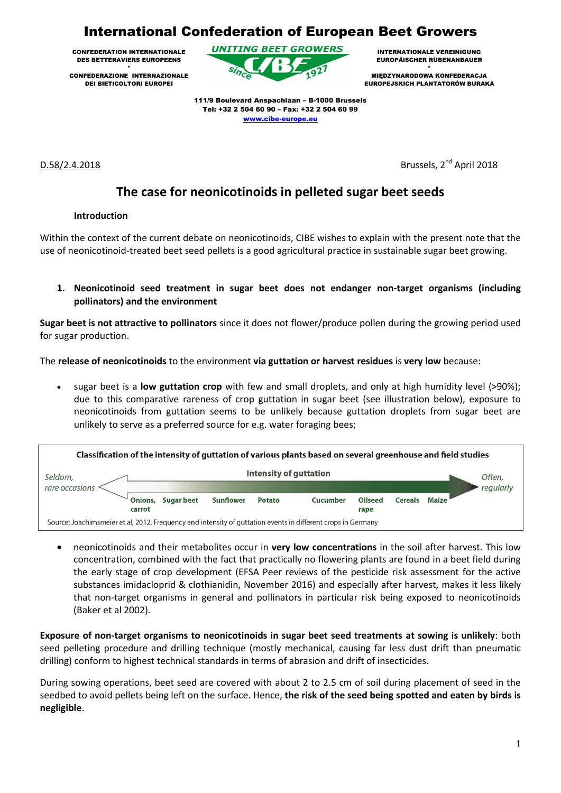# International Confederation of European Beet Growers

CONFEDERATION INTERNATIONALE DES BETTERAVIERS EUROPEENS

\* CONFEDERAZIONE INTERNAZIONALE DEI BIETICOLTORI EUROPEI



INTERNATIONALE VEREINIGUNG EUROPÄISCHER RÜBENANBAUER

\* MIĘDZYNARODOWA KONFEDERACJA EUROPEJSKICH PLANTATORÓW BURAKA

111/9 Boulevard Anspachlaan – B-1000 Brussels Tel: +32 2 504 60 90 – Fax: +32 2 504 60 99 [www.cibe-europe.eu](http://www.cibe-europe.eu/)

 $D.58/2.4.2018$ 

Brussels, 2<sup>nd</sup> April 2018

# **The case for neonicotinoids in pelleted sugar beet seeds**

# **Introduction**

Within the context of the current debate on neonicotinoids, CIBE wishes to explain with the present note that the use of neonicotinoid-treated beet seed pellets is a good agricultural practice in sustainable sugar beet growing.

**1. Neonicotinoid seed treatment in sugar beet does not endanger non-target organisms (including pollinators) and the environment**

**Sugar beet is not attractive to pollinators** since it does not flower/produce pollen during the growing period used for sugar production.

The **release of neonicotinoids** to the environment **via guttation or harvest residues** is **very low** because:

 sugar beet is a **low guttation crop** with few and small droplets, and only at high humidity level (>90%); due to this comparative rareness of crop guttation in sugar beet (see illustration below), exposure to neonicotinoids from guttation seems to be unlikely because guttation droplets from sugar beet are unlikely to serve as a preferred source for e.g. water foraging bees;



 neonicotinoids and their metabolites occur in **very low concentrations** in the soil after harvest. This low concentration, combined with the fact that practically no flowering plants are found in a beet field during the early stage of crop development (EFSA Peer reviews of the pesticide risk assessment for the active substances imidacloprid & clothianidin, November 2016) and especially after harvest, makes it less likely that non-target organisms in general and pollinators in particular risk being exposed to neonicotinoids (Baker et al 2002).

**Exposure of non-target organisms to neonicotinoids in sugar beet seed treatments at sowing is unlikely**: both seed pelleting procedure and drilling technique (mostly mechanical, causing far less dust drift than pneumatic drilling) conform to highest technical standards in terms of abrasion and drift of insecticides.

During sowing operations, beet seed are covered with about 2 to 2.5 cm of soil during placement of seed in the seedbed to avoid pellets being left on the surface. Hence, **the risk of the seed being spotted and eaten by birds is negligible**.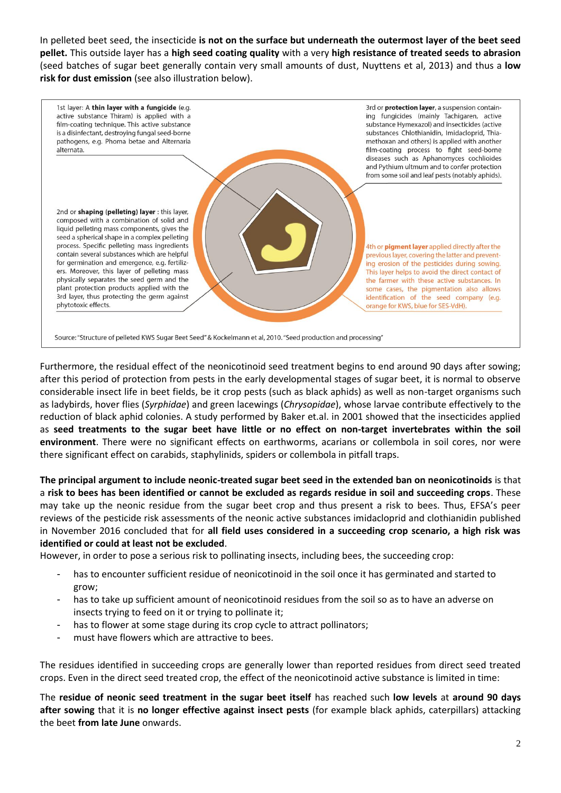In pelleted beet seed, the insecticide **is not on the surface but underneath the outermost layer of the beet seed pellet.** This outside layer has a **high seed coating quality** with a very **high resistance of treated seeds to abrasion** (seed batches of sugar beet generally contain very small amounts of dust, Nuyttens et al, 2013) and thus a **low risk for dust emission** (see also illustration below).



Furthermore, the residual effect of the neonicotinoid seed treatment begins to end around 90 days after sowing; after this period of protection from pests in the early developmental stages of sugar beet, it is normal to observe considerable insect life in beet fields, be it crop pests (such as black aphids) as well as non-target organisms such as ladybirds, hover flies (*Syrphidae*) and green lacewings (*Chrysopidae*), whose larvae contribute effectively to the reduction of black aphid colonies. A study performed by Baker et.al. in 2001 showed that the insecticides applied as **seed treatments to the sugar beet have little or no effect on non-target invertebrates within the soil environment**. There were no significant effects on earthworms, acarians or collembola in soil cores, nor were there significant effect on carabids, staphylinids, spiders or collembola in pitfall traps.

**The principal argument to include neonic-treated sugar beet seed in the extended ban on neonicotinoids** is that a **risk to bees has been identified or cannot be excluded as regards residue in soil and succeeding crops**. These may take up the neonic residue from the sugar beet crop and thus present a risk to bees. Thus, EFSA's peer reviews of the pesticide risk assessments of the neonic active substances imidacloprid and clothianidin published in November 2016 concluded that for **all field uses considered in a succeeding crop scenario, a high risk was identified or could at least not be excluded**.

However, in order to pose a serious risk to pollinating insects, including bees, the succeeding crop:

- has to encounter sufficient residue of neonicotinoid in the soil once it has germinated and started to grow;
- has to take up sufficient amount of neonicotinoid residues from the soil so as to have an adverse on insects trying to feed on it or trying to pollinate it;
- has to flower at some stage during its crop cycle to attract pollinators;
- must have flowers which are attractive to bees.

The residues identified in succeeding crops are generally lower than reported residues from direct seed treated crops. Even in the direct seed treated crop, the effect of the neonicotinoid active substance is limited in time:

The **residue of neonic seed treatment in the sugar beet itself** has reached such **low levels** at **around 90 days after sowing** that it is **no longer effective against insect pests** (for example black aphids, caterpillars) attacking the beet **from late June** onwards.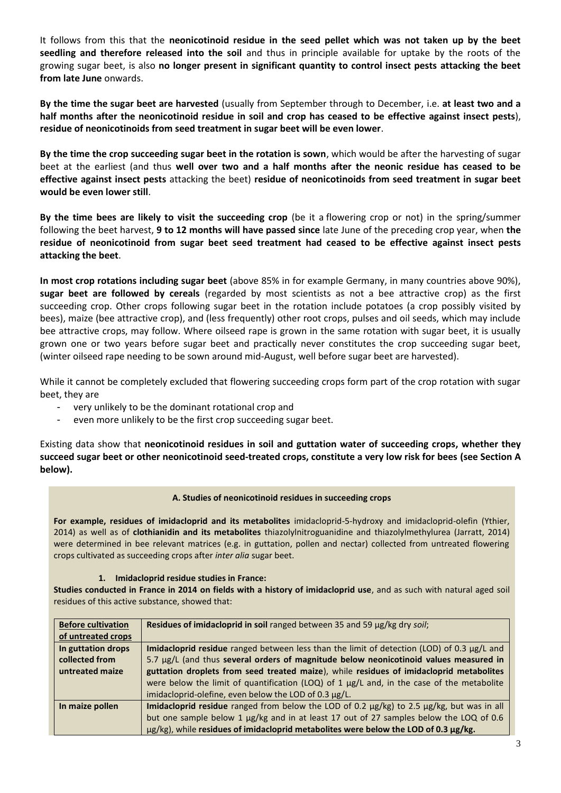It follows from this that the **neonicotinoid residue in the seed pellet which was not taken up by the beet seedling and therefore released into the soil** and thus in principle available for uptake by the roots of the growing sugar beet, is also **no longer present in significant quantity to control insect pests attacking the beet from late June** onwards.

**By the time the sugar beet are harvested** (usually from September through to December, i.e. **at least two and a half months after the neonicotinoid residue in soil and crop has ceased to be effective against insect pests**), **residue of neonicotinoids from seed treatment in sugar beet will be even lower**.

**By the time the crop succeeding sugar beet in the rotation is sown**, which would be after the harvesting of sugar beet at the earliest (and thus **well over two and a half months after the neonic residue has ceased to be effective against insect pests** attacking the beet) **residue of neonicotinoids from seed treatment in sugar beet would be even lower still**.

**By the time bees are likely to visit the succeeding crop** (be it a flowering crop or not) in the spring/summer following the beet harvest, **9 to 12 months will have passed since** late June of the preceding crop year, when **the residue of neonicotinoid from sugar beet seed treatment had ceased to be effective against insect pests attacking the beet**.

**In most crop rotations including sugar beet** (above 85% in for example Germany, in many countries above 90%), **sugar beet are followed by cereals** (regarded by most scientists as not a bee attractive crop) as the first succeeding crop. Other crops following sugar beet in the rotation include potatoes (a crop possibly visited by bees), maize (bee attractive crop), and (less frequently) other root crops, pulses and oil seeds, which may include bee attractive crops, may follow. Where oilseed rape is grown in the same rotation with sugar beet, it is usually grown one or two years before sugar beet and practically never constitutes the crop succeeding sugar beet, (winter oilseed rape needing to be sown around mid-August, well before sugar beet are harvested).

While it cannot be completely excluded that flowering succeeding crops form part of the crop rotation with sugar beet, they are

- very unlikely to be the dominant rotational crop and
- even more unlikely to be the first crop succeeding sugar beet.

Existing data show that **neonicotinoid residues in soil and guttation water of succeeding crops, whether they succeed sugar beet or other neonicotinoid seed-treated crops, constitute a very low risk for bees (see Section A below).** 

#### **A. Studies of neonicotinoid residues in succeeding crops**

**For example, residues of imidacloprid and its metabolites** imidacloprid-5-hydroxy and imidacloprid-olefin (Ythier, 2014) as well as of **clothianidin and its metabolites** thiazolylnitroguanidine and thiazolylmethylurea (Jarratt, 2014) were determined in bee relevant matrices (e.g. in guttation, pollen and nectar) collected from untreated flowering crops cultivated as succeeding crops after *inter alia* sugar beet.

#### **1. Imidacloprid residue studies in France:**

**Studies conducted in France in 2014 on fields with a history of imidacloprid use**, and as such with natural aged soil residues of this active substance, showed that:

| <b>Before cultivation</b> | Residues of imidacloprid in soil ranged between 35 and 59 µg/kg dry soil;                      |
|---------------------------|------------------------------------------------------------------------------------------------|
| of untreated crops        |                                                                                                |
| In guttation drops        | Imidacloprid residue ranged between less than the limit of detection (LOD) of 0.3 µg/L and     |
| collected from            | 5.7 µg/L (and thus several orders of magnitude below neonicotinoid values measured in          |
| untreated maize           | guttation droplets from seed treated maize), while residues of imidacloprid metabolites        |
|                           | were below the limit of quantification (LOQ) of 1 $\mu$ g/L and, in the case of the metabolite |
|                           | imidacloprid-olefine, even below the LOD of 0.3 µg/L.                                          |
| In maize pollen           | Imidacloprid residue ranged from below the LOD of 0.2 µg/kg) to 2.5 µg/kg, but was in all      |
|                           | but one sample below 1 µg/kg and in at least 17 out of 27 samples below the LOQ of 0.6         |
|                           | $\mu$ g/kg), while residues of imidacloprid metabolites were below the LOD of 0.3 $\mu$ g/kg.  |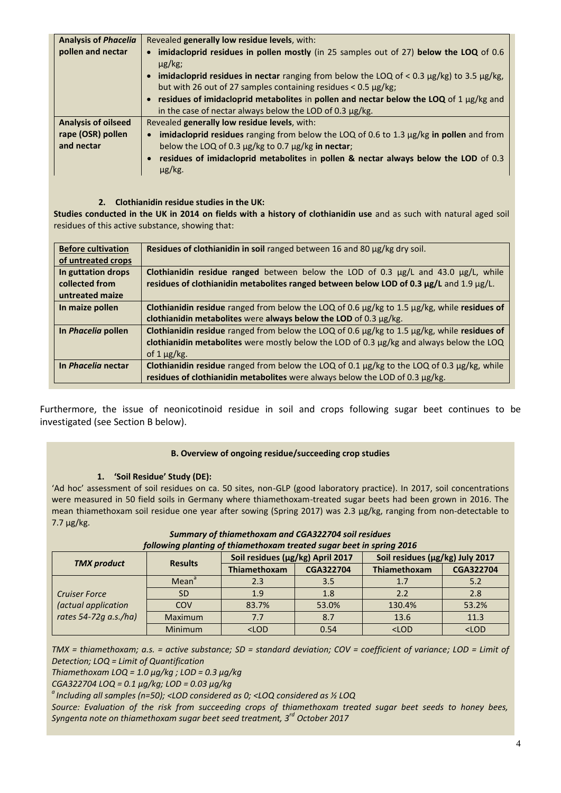| <b>Analysis of Phacelia</b> | Revealed generally low residue levels, with:                                                           |
|-----------------------------|--------------------------------------------------------------------------------------------------------|
| pollen and nectar           | • imidacloprid residues in pollen mostly (in 25 samples out of 27) below the LOQ of 0.6<br>$\mu$ g/kg; |
|                             | • imidacloprid residues in nectar ranging from below the LOQ of $<$ 0.3 $\mu$ g/kg) to 3.5 $\mu$ g/kg, |
|                             | but with 26 out of 27 samples containing residues $< 0.5 \mu g/kg$ ;                                   |
|                             | • residues of imidacloprid metabolites in pollen and nectar below the LOQ of 1 $\mu$ g/kg and          |
|                             | in the case of nectar always below the LOD of 0.3 µg/kg.                                               |
| <b>Analysis of oilseed</b>  | Revealed generally low residue levels, with:                                                           |
| rape (OSR) pollen           | • imidacloprid residues ranging from below the LOQ of 0.6 to 1.3 $\mu$ g/kg in pollen and from         |
| and nectar                  | below the LOQ of 0.3 µg/kg to 0.7 µg/kg in nectar;                                                     |
|                             | • residues of imidacloprid metabolites in pollen & nectar always below the LOD of 0.3<br>$\mu$ g/kg.   |

## **2. Clothianidin residue studies in the UK:**

**Studies conducted in the UK in 2014 on fields with a history of clothianidin use** and as such with natural aged soil residues of this active substance, showing that:

| <b>Before cultivation</b><br>of untreated crops         | Residues of clothianidin in soil ranged between 16 and 80 µg/kg dry soil.                                                                                                                                             |
|---------------------------------------------------------|-----------------------------------------------------------------------------------------------------------------------------------------------------------------------------------------------------------------------|
| In guttation drops<br>collected from<br>untreated maize | Clothianidin residue ranged between below the LOD of 0.3 $\mu$ g/L and 43.0 $\mu$ g/L, while<br>residues of clothianidin metabolites ranged between below LOD of 0.3 µg/L and 1.9 µg/L.                               |
| In maize pollen                                         | Clothianidin residue ranged from below the LOQ of 0.6 $\mu$ g/kg to 1.5 $\mu$ g/kg, while residues of<br>clothianidin metabolites were always below the LOD of 0.3 µg/kg.                                             |
| In <i>Phacelia</i> pollen                               | Clothianidin residue ranged from below the LOQ of 0.6 $\mu$ g/kg to 1.5 $\mu$ g/kg, while residues of<br>clothianidin metabolites were mostly below the LOD of 0.3 µg/kg and always below the LOQ<br>of 1 $\mu$ g/kg. |
| In <i>Phacelia</i> nectar                               | Clothianidin residue ranged from below the LOQ of 0.1 $\mu$ g/kg to the LOQ of 0.3 $\mu$ g/kg, while<br>residues of clothianidin metabolites were always below the LOD of 0.3 µg/kg.                                  |

Furthermore, the issue of neonicotinoid residue in soil and crops following sugar beet continues to be investigated (see Section B below).

#### **B. Overview of ongoing residue/succeeding crop studies**

## **1. 'Soil Residue' Study (DE):**

'Ad hoc' assessment of soil residues on ca. 50 sites, non-GLP (good laboratory practice). In 2017, soil concentrations were measured in 50 field soils in Germany where thiamethoxam-treated sugar beets had been grown in 2016. The mean thiamethoxam soil residue one year after sowing (Spring 2017) was 2.3 μg/kg, ranging from non-detectable to 7.7 μg/kg.

|                                                                      | <b>Results</b>    | Soil residues (μg/kg) April 2017 |                  | Soil residues (µg/kg) July 2017 |                  |  |  |  |
|----------------------------------------------------------------------|-------------------|----------------------------------|------------------|---------------------------------|------------------|--|--|--|
| <b>TMX</b> product                                                   |                   | <b>Thiamethoxam</b>              | <b>CGA322704</b> | Thiamethoxam                    | <b>CGA322704</b> |  |  |  |
| <b>Cruiser Force</b><br>(actual application<br>rates 54-72g a.s./ha) | Mean <sup>a</sup> | 2.3                              | 3.5              | 1.7                             | 5.2              |  |  |  |
|                                                                      | <b>SD</b>         | 1.9                              | 1.8              | 2.2                             | 2.8              |  |  |  |
|                                                                      | <b>COV</b>        | 83.7%                            | 53.0%            | 130.4%                          | 53.2%            |  |  |  |
|                                                                      | <b>Maximum</b>    | 7.7                              | 8.7              | 13.6                            | 11.3             |  |  |  |
|                                                                      | <b>Minimum</b>    | $<$ LOD                          | 0.54             | $<$ LOD                         | $<$ LOD          |  |  |  |

*Summary of thiamethoxam and CGA322704 soil residues following planting of thiamethoxam treated sugar beet in spring 2016*

*TMX = thiamethoxam; a.s. = active substance; SD = standard deviation; COV = coefficient of variance; LOD = Limit of Detection; LOQ = Limit of Quantification* 

*Thiamethoxam LOQ = 1.0 μg/kg ; LOD = 0.3 μg/kg*

*CGA322704 LOQ = 0.1 μg/kg; LOD = 0.03 μg/kg*

*<sup>a</sup>Including all samples (n=50); <LOD considered as 0; <LOQ considered as ½ LOQ*

*Source: Evaluation of the risk from succeeding crops of thiamethoxam treated sugar beet seeds to honey bees, Syngenta note on thiamethoxam sugar beet seed treatment, 3rd October 2017*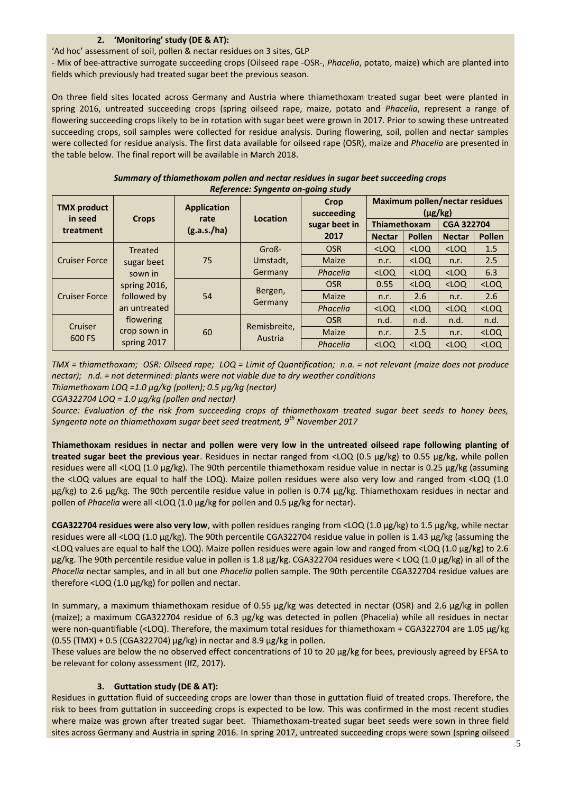## **2. 'Monitoring' study (DE & AT):**

'Ad hoc' assessment of soil, pollen & nectar residues on 3 sites, GLP

- Mix of bee-attractive surrogate succeeding crops (Oilseed rape -OSR-, *Phacelia*, potato, maize) which are planted into fields which previously had treated sugar beet the previous season.

On three field sites located across Germany and Austria where thiamethoxam treated sugar beet were planted in spring 2016, untreated succeeding crops (spring oilseed rape, maize, potato and *Phacelia*, represent a range of flowering succeeding crops likely to be in rotation with sugar beet were grown in 2017. Prior to sowing these untreated succeeding crops, soil samples were collected for residue analysis. During flowering, soil, pollen and nectar samples were collected for residue analysis. The first data available for oilseed rape (OSR), maize and *Phacelia* are presented in the table below. The final report will be available in March 2018.

| Summary of thiamethoxam pollen and nectar residues in sugar beet succeeding crops |  |
|-----------------------------------------------------------------------------------|--|
| Reference: Syngenta on-going study                                                |  |

| <b>TMX</b> product<br>in seed | <b>Crops</b>                                | <b>Application</b><br>rate<br>(g.a.s./ha) | Location                | Crop<br>succeeding | <b>Maximum pollen/nectar residues</b><br>$(\mu$ g/kg) |         |                   |               |
|-------------------------------|---------------------------------------------|-------------------------------------------|-------------------------|--------------------|-------------------------------------------------------|---------|-------------------|---------------|
| treatment                     |                                             |                                           |                         | sugar beet in      | <b>Thiamethoxam</b>                                   |         | <b>CGA 322704</b> |               |
|                               |                                             |                                           |                         | 2017               | <b>Nectar</b>                                         | Pollen  | <b>Nectar</b>     | <b>Pollen</b> |
| <b>Cruiser Force</b>          | <b>Treated</b><br>sugar beet<br>sown in     | 75                                        | Groß-                   | <b>OSR</b>         | $<$ LOQ                                               | $<$ LOQ | $<$ LOQ           | 1.5           |
|                               |                                             |                                           | Umstadt,                | Maize              | n.r.                                                  | $<$ LOQ | n.r.              | 2.5           |
|                               |                                             |                                           | Germany                 | Phacelia           | $<$ LOQ                                               | $<$ LOQ | $<$ LOQ           | 6.3           |
| <b>Cruiser Force</b>          | spring 2016,<br>followed by<br>an untreated | 54                                        | Bergen,<br>Germany      | <b>OSR</b>         | 0.55                                                  | $<$ LOQ | $<$ LOQ           | $<$ LOQ       |
|                               |                                             |                                           |                         | Maize              | n.r.                                                  | 2.6     | n.r.              | 2.6           |
|                               |                                             |                                           |                         | Phacelia           | $<$ LOQ                                               | $<$ LOQ | $<$ LOQ           | $<$ LOQ       |
| Cruiser<br>600 FS             | flowering                                   | 60                                        | Remisbreite,<br>Austria | <b>OSR</b>         | n.d.                                                  | n.d.    | n.d.              | n.d.          |
|                               | crop sown in                                |                                           |                         | Maize              | n.r.                                                  | 2.5     | n.r.              | $<$ LOQ       |
|                               | spring 2017                                 |                                           |                         | Phacelia           | $<$ LOQ                                               | $<$ LOQ | $<$ LOQ           | $<$ LOQ       |

*TMX = thiamethoxam; OSR: Oilseed rape; LOQ = Limit of Quantification; n.a. = not relevant (maize does not produce nectar); n.d. = not determined: plants were not viable due to dry weather conditions*

*Thiamethoxam LOQ =1.0 μg/kg (pollen); 0.5 μg/kg (nectar)* 

*CGA322704 LOQ = 1.0 μg/kg (pollen and nectar)*

*Source: Evaluation of the risk from succeeding crops of thiamethoxam treated sugar beet seeds to honey bees, Syngenta note on thiamethoxam sugar beet seed treatment, 9th November 2017*

**Thiamethoxam residues in nectar and pollen were very low in the untreated oilseed rape following planting of treated sugar beet the previous year**. Residues in nectar ranged from <LOQ (0.5 μg/kg) to 0.55 μg/kg, while pollen residues were all <LOQ (1.0 μg/kg). The 90th percentile thiamethoxam residue value in nectar is 0.25 μg/kg (assuming the <LOQ values are equal to half the LOQ). Maize pollen residues were also very low and ranged from <LOQ (1.0 μg/kg) to 2.6 μg/kg. The 90th percentile residue value in pollen is 0.74 μg/kg. Thiamethoxam residues in nectar and pollen of *Phacelia* were all <LOQ (1.0 μg/kg for pollen and 0.5 μg/kg for nectar).

**CGA322704 residues were also very low**, with pollen residues ranging from <LOQ (1.0 μg/kg) to 1.5 μg/kg, while nectar residues were all <LOQ (1.0 μg/kg). The 90th percentile CGA322704 residue value in pollen is 1.43 μg/kg (assuming the <LOQ values are equal to half the LOQ). Maize pollen residues were again low and ranged from <LOQ (1.0 μg/kg) to 2.6 μg/kg. The 90th percentile residue value in pollen is 1.8 μg/kg. CGA322704 residues were < LOQ (1.0 μg/kg) in all of the *Phacelia* nectar samples, and in all but one *Phacelia* pollen sample. The 90th percentile CGA322704 residue values are therefore <LOQ (1.0 μg/kg) for pollen and nectar.

In summary, a maximum thiamethoxam residue of 0.55 μg/kg was detected in nectar (OSR) and 2.6 μg/kg in pollen (maize); a maximum CGA322704 residue of 6.3 μg/kg was detected in pollen (Phacelia) while all residues in nectar were non-quantifiable (<LOQ). Therefore, the maximum total residues for thiamethoxam + CGA322704 are 1.05 μg/kg (0.55 (TMX) + 0.5 (CGA322704) μg/kg) in nectar and 8.9 μg/kg in pollen.

These values are below the no observed effect concentrations of 10 to 20 μg/kg for bees, previously agreed by EFSA to be relevant for colony assessment (IfZ, 2017).

## **3. Guttation study (DE & AT):**

Residues in guttation fluid of succeeding crops are lower than those in guttation fluid of treated crops. Therefore, the risk to bees from guttation in succeeding crops is expected to be low. This was confirmed in the most recent studies where maize was grown after treated sugar beet. Thiamethoxam-treated sugar beet seeds were sown in three field sites across Germany and Austria in spring 2016. In spring 2017, untreated succeeding crops were sown (spring oilseed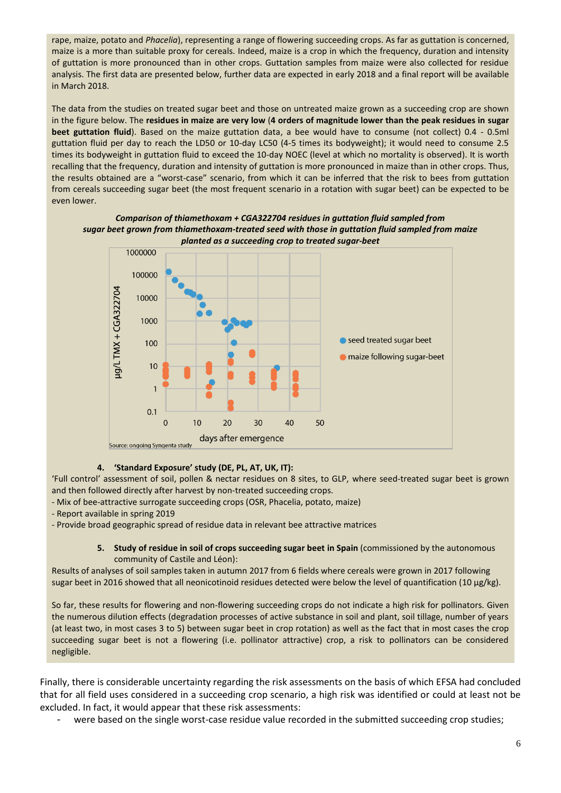rape, maize, potato and *Phacelia*), representing a range of flowering succeeding crops. As far as guttation is concerned, maize is a more than suitable proxy for cereals. Indeed, maize is a crop in which the frequency, duration and intensity of guttation is more pronounced than in other crops. Guttation samples from maize were also collected for residue analysis. The first data are presented below, further data are expected in early 2018 and a final report will be available in March 2018.

The data from the studies on treated sugar beet and those on untreated maize grown as a succeeding crop are shown in the figure below. The **residues in maize are very low** (**4 orders of magnitude lower than the peak residues in sugar beet guttation fluid**). Based on the maize guttation data, a bee would have to consume (not collect) 0.4 - 0.5ml guttation fluid per day to reach the LD50 or 10-day LC50 (4-5 times its bodyweight); it would need to consume 2.5 times its bodyweight in guttation fluid to exceed the 10-day NOEC (level at which no mortality is observed). It is worth recalling that the frequency, duration and intensity of guttation is more pronounced in maize than in other crops. Thus, the results obtained are a "worst-case" scenario, from which it can be inferred that the risk to bees from guttation from cereals succeeding sugar beet (the most frequent scenario in a rotation with sugar beet) can be expected to be even lower.

#### *Comparison of thiamethoxam + CGA322704 residues in guttation fluid sampled from sugar beet grown from thiamethoxam-treated seed with those in guttation fluid sampled from maize planted as a succeeding crop to treated sugar-beet*



# **4. 'Standard Exposure' study (DE, PL, AT, UK, IT):**

'Full control' assessment of soil, pollen & nectar residues on 8 sites, to GLP, where seed-treated sugar beet is grown and then followed directly after harvest by non-treated succeeding crops.

- Mix of bee-attractive surrogate succeeding crops (OSR, Phacelia, potato, maize)
- Report available in spring 2019

- Provide broad geographic spread of residue data in relevant bee attractive matrices

#### **5. Study of residue in soil of crops succeeding sugar beet in Spain** (commissioned by the autonomous community of Castile and Léon):

Results of analyses of soil samples taken in autumn 2017 from 6 fields where cereals were grown in 2017 following sugar beet in 2016 showed that all neonicotinoid residues detected were below the level of quantification (10 μg/kg).

So far, these results for flowering and non-flowering succeeding crops do not indicate a high risk for pollinators. Given the numerous dilution effects (degradation processes of active substance in soil and plant, soil tillage, number of years (at least two, in most cases 3 to 5) between sugar beet in crop rotation) as well as the fact that in most cases the crop succeeding sugar beet is not a flowering (i.e. pollinator attractive) crop, a risk to pollinators can be considered negligible.

Finally, there is considerable uncertainty regarding the risk assessments on the basis of which EFSA had concluded that for all field uses considered in a succeeding crop scenario, a high risk was identified or could at least not be excluded. In fact, it would appear that these risk assessments:

were based on the single worst-case residue value recorded in the submitted succeeding crop studies;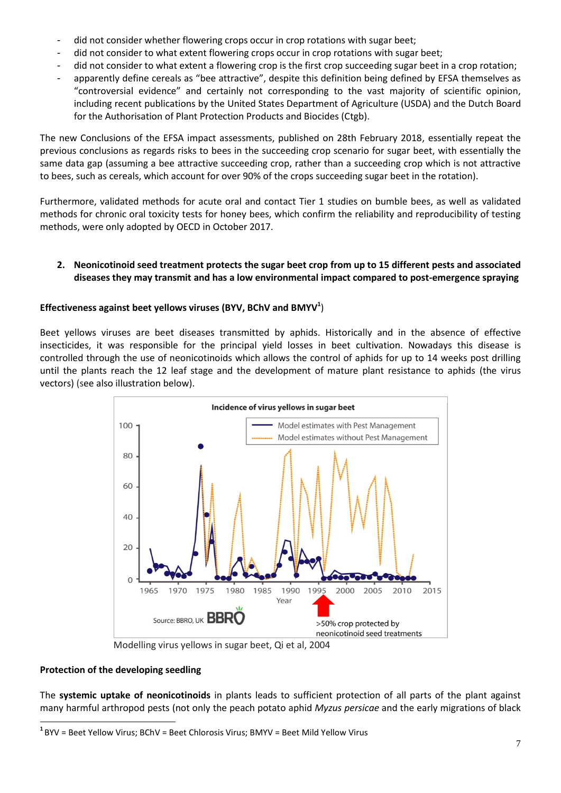- did not consider whether flowering crops occur in crop rotations with sugar beet;
- did not consider to what extent flowering crops occur in crop rotations with sugar beet;
- did not consider to what extent a flowering crop is the first crop succeeding sugar beet in a crop rotation;
- apparently define cereals as "bee attractive", despite this definition being defined by EFSA themselves as "controversial evidence" and certainly not corresponding to the vast majority of scientific opinion, including recent publications by the United States Department of Agriculture (USDA) and the Dutch Board for the Authorisation of Plant Protection Products and Biocides (Ctgb).

The new Conclusions of the EFSA impact assessments, published on 28th February 2018, essentially repeat the previous conclusions as regards risks to bees in the succeeding crop scenario for sugar beet, with essentially the same data gap (assuming a bee attractive succeeding crop, rather than a succeeding crop which is not attractive to bees, such as cereals, which account for over 90% of the crops succeeding sugar beet in the rotation).

Furthermore, validated methods for acute oral and contact Tier 1 studies on bumble bees, as well as validated methods for chronic oral toxicity tests for honey bees, which confirm the reliability and reproducibility of testing methods, were only adopted by OECD in October 2017.

# **2. Neonicotinoid seed treatment protects the sugar beet crop from up to 15 different pests and associated diseases they may transmit and has a low environmental impact compared to post-emergence spraying**

# **Effectiveness against beet yellows viruses (BYV, BChV and BMYV<sup>1</sup>** )

Beet yellows viruses are beet diseases transmitted by aphids. Historically and in the absence of effective insecticides, it was responsible for the principal yield losses in beet cultivation. Nowadays this disease is controlled through the use of neonicotinoids which allows the control of aphids for up to 14 weeks post drilling until the plants reach the 12 leaf stage and the development of mature plant resistance to aphids (the virus vectors) (see also illustration below).



Modelling virus yellows in sugar beet, Qi et al, 2004

## **Protection of the developing seedling**

 $\overline{a}$ 

The **systemic uptake of neonicotinoids** in plants leads to sufficient protection of all parts of the plant against many harmful arthropod pests (not only the peach potato aphid *Myzus persicae* and the early migrations of black

**<sup>1</sup>** BYV = Beet Yellow Virus; BChV = Beet Chlorosis Virus; BMYV = Beet Mild Yellow Virus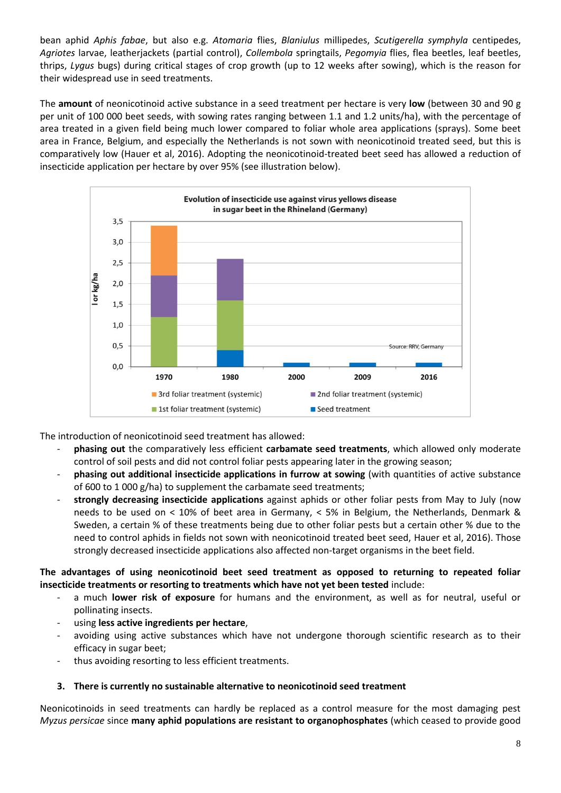bean aphid *Aphis fabae*, but also e.g. *Atomaria* flies, *Blaniulus* millipedes, *Scutigerella symphyla* centipedes, *Agriotes* larvae, leatherjackets (partial control), *Collembola* springtails, *Pegomyia* flies, flea beetles, leaf beetles, thrips, *Lygus* bugs) during critical stages of crop growth (up to 12 weeks after sowing), which is the reason for their widespread use in seed treatments.

The **amount** of neonicotinoid active substance in a seed treatment per hectare is very **low** (between 30 and 90 g per unit of 100 000 beet seeds, with sowing rates ranging between 1.1 and 1.2 units/ha), with the percentage of area treated in a given field being much lower compared to foliar whole area applications (sprays). Some beet area in France, Belgium, and especially the Netherlands is not sown with neonicotinoid treated seed, but this is comparatively low (Hauer et al, 2016). Adopting the neonicotinoid-treated beet seed has allowed a reduction of insecticide application per hectare by over 95% (see illustration below).



The introduction of neonicotinoid seed treatment has allowed:

- **phasing out** the comparatively less efficient **carbamate seed treatments**, which allowed only moderate control of soil pests and did not control foliar pests appearing later in the growing season;
- **phasing out additional insecticide applications in furrow at sowing** (with quantities of active substance of 600 to 1 000 g/ha) to supplement the carbamate seed treatments;
- **strongly decreasing insecticide applications** against aphids or other foliar pests from May to July (now needs to be used on < 10% of beet area in Germany, < 5% in Belgium, the Netherlands, Denmark & Sweden, a certain % of these treatments being due to other foliar pests but a certain other % due to the need to control aphids in fields not sown with neonicotinoid treated beet seed, Hauer et al, 2016). Those strongly decreased insecticide applications also affected non-target organisms in the beet field.

# **The advantages of using neonicotinoid beet seed treatment as opposed to returning to repeated foliar insecticide treatments or resorting to treatments which have not yet been tested** include:

- a much **lower risk of exposure** for humans and the environment, as well as for neutral, useful or pollinating insects.
- using **less active ingredients per hectare**,
- avoiding using active substances which have not undergone thorough scientific research as to their efficacy in sugar beet;
- thus avoiding resorting to less efficient treatments.

# **3. There is currently no sustainable alternative to neonicotinoid seed treatment**

Neonicotinoids in seed treatments can hardly be replaced as a control measure for the most damaging pest *Myzus persicae* since **many aphid populations are resistant to organophosphates** (which ceased to provide good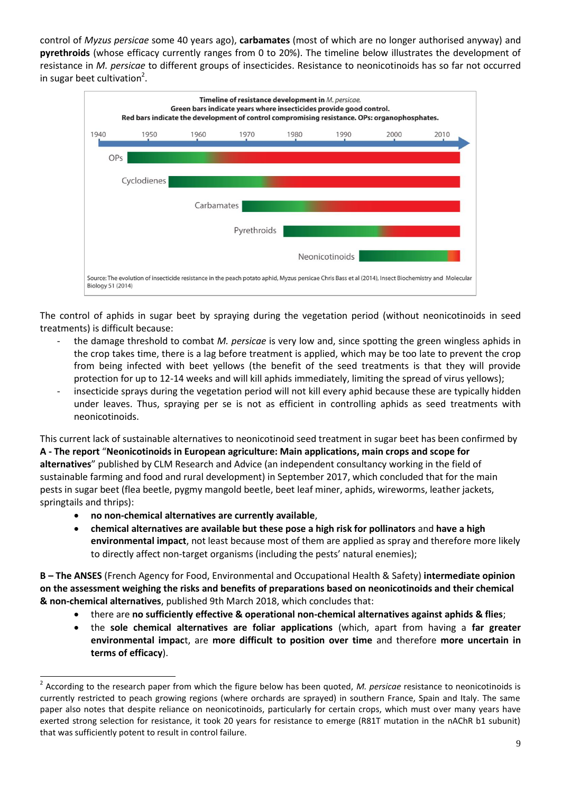control of *Myzus persicae* some 40 years ago), **carbamates** (most of which are no longer authorised anyway) and **pyrethroids** (whose efficacy currently ranges from 0 to 20%). The timeline below illustrates the development of resistance in *M. persicae* to different groups of insecticides. Resistance to neonicotinoids has so far not occurred in sugar beet cultivation<sup>2</sup>.



The control of aphids in sugar beet by spraying during the vegetation period (without neonicotinoids in seed treatments) is difficult because:

- the damage threshold to combat *M. persicae* is very low and, since spotting the green wingless aphids in the crop takes time, there is a lag before treatment is applied, which may be too late to prevent the crop from being infected with beet yellows (the benefit of the seed treatments is that they will provide protection for up to 12-14 weeks and will kill aphids immediately, limiting the spread of virus yellows);
- insecticide sprays during the vegetation period will not kill every aphid because these are typically hidden under leaves. Thus, spraying per se is not as efficient in controlling aphids as seed treatments with neonicotinoids.

This current lack of sustainable alternatives to neonicotinoid seed treatment in sugar beet has been confirmed by **A - The report** "**Neonicotinoids in European agriculture: Main applications, main crops and scope for alternatives**" published by CLM Research and Advice (an independent consultancy working in the field of sustainable farming and food and rural development) in September 2017, which concluded that for the main pests in sugar beet (flea beetle, pygmy mangold beetle, beet leaf miner, aphids, wireworms, leather jackets, springtails and thrips):

**no non-chemical alternatives are currently available**,

 $\overline{a}$ 

 **chemical alternatives are available but these pose a high risk for pollinators** and **have a high environmental impact**, not least because most of them are applied as spray and therefore more likely to directly affect non-target organisms (including the pests' natural enemies);

**B – The ANSES** (French Agency for Food, Environmental and Occupational Health & Safety) **intermediate opinion on the assessment weighing the risks and benefits of preparations based on neonicotinoids and their chemical & non-chemical alternatives**, published 9th March 2018, which concludes that:

- there are **no sufficiently effective & operational non-chemical alternatives against aphids & flies**;
- the **sole chemical alternatives are foliar applications** (which, apart from having a **far greater environmental impac**t, are **more difficult to position over time** and therefore **more uncertain in terms of efficacy**).

<sup>2</sup> According to the research paper from which the figure below has been quoted, *M. persicae* resistance to neonicotinoids is currently restricted to peach growing regions (where orchards are sprayed) in southern France, Spain and Italy. The same paper also notes that despite reliance on neonicotinoids, particularly for certain crops, which must over many years have exerted strong selection for resistance, it took 20 years for resistance to emerge (R81T mutation in the nAChR b1 subunit) that was sufficiently potent to result in control failure.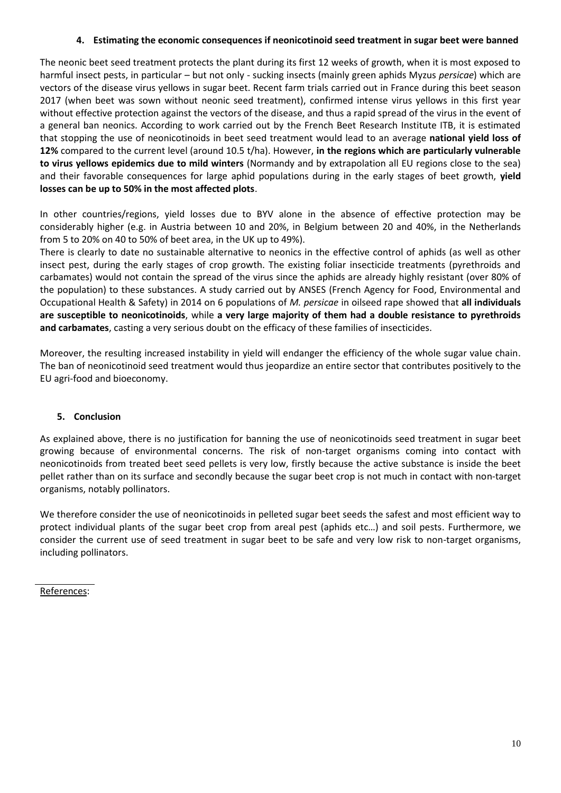# **4. Estimating the economic consequences if neonicotinoid seed treatment in sugar beet were banned**

The neonic beet seed treatment protects the plant during its first 12 weeks of growth, when it is most exposed to harmful insect pests, in particular – but not only - sucking insects (mainly green aphids Myzus *persicae*) which are vectors of the disease virus yellows in sugar beet. Recent farm trials carried out in France during this beet season 2017 (when beet was sown without neonic seed treatment), confirmed intense virus yellows in this first year without effective protection against the vectors of the disease, and thus a rapid spread of the virus in the event of a general ban neonics. According to work carried out by the French Beet Research Institute ITB, it is estimated that stopping the use of neonicotinoids in beet seed treatment would lead to an average **national yield loss of 12%** compared to the current level (around 10.5 t/ha). However, **in the regions which are particularly vulnerable to virus yellows epidemics due to mild winters** (Normandy and by extrapolation all EU regions close to the sea) and their favorable consequences for large aphid populations during in the early stages of beet growth, **yield losses can be up to 50% in the most affected plots**.

In other countries/regions, yield losses due to BYV alone in the absence of effective protection may be considerably higher (e.g. in Austria between 10 and 20%, in Belgium between 20 and 40%, in the Netherlands from 5 to 20% on 40 to 50% of beet area, in the UK up to 49%).

There is clearly to date no sustainable alternative to neonics in the effective control of aphids (as well as other insect pest, during the early stages of crop growth. The existing foliar insecticide treatments (pyrethroids and carbamates) would not contain the spread of the virus since the aphids are already highly resistant (over 80% of the population) to these substances. A study carried out by ANSES (French Agency for Food, Environmental and Occupational Health & Safety) in 2014 on 6 populations of *M. persicae* in oilseed rape showed that **all individuals are susceptible to neonicotinoids**, while **a very large majority of them had a double resistance to pyrethroids and carbamates**, casting a very serious doubt on the efficacy of these families of insecticides.

Moreover, the resulting increased instability in yield will endanger the efficiency of the whole sugar value chain. The ban of neonicotinoid seed treatment would thus jeopardize an entire sector that contributes positively to the EU agri-food and bioeconomy.

## **5. Conclusion**

As explained above, there is no justification for banning the use of neonicotinoids seed treatment in sugar beet growing because of environmental concerns. The risk of non-target organisms coming into contact with neonicotinoids from treated beet seed pellets is very low, firstly because the active substance is inside the beet pellet rather than on its surface and secondly because the sugar beet crop is not much in contact with non-target organisms, notably pollinators.

We therefore consider the use of neonicotinoids in pelleted sugar beet seeds the safest and most efficient way to protect individual plants of the sugar beet crop from areal pest (aphids etc…) and soil pests. Furthermore, we consider the current use of seed treatment in sugar beet to be safe and very low risk to non-target organisms, including pollinators.

References: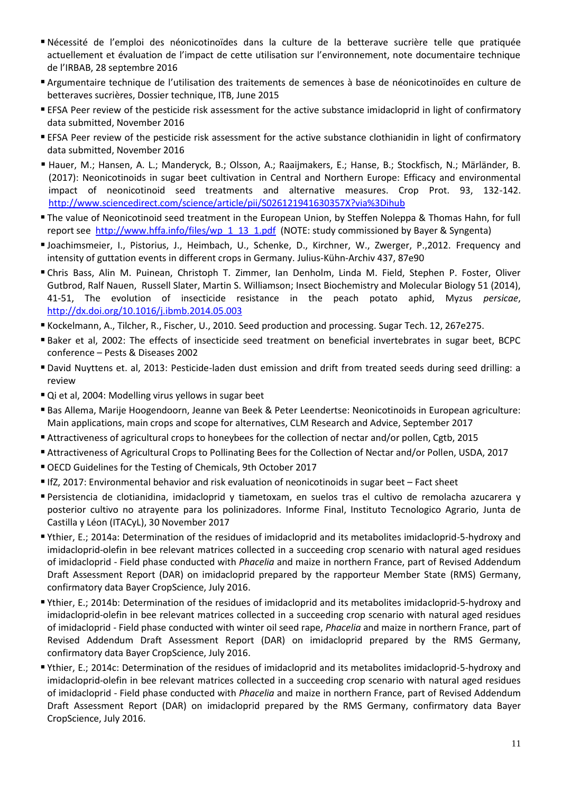- Nécessité de l'emploi des néonicotinoïdes dans la culture de la betterave sucrière telle que pratiquée actuellement et évaluation de l'impact de cette utilisation sur l'environnement, note documentaire technique de l'IRBAB, 28 septembre 2016
- Argumentaire technique de l'utilisation des traitements de semences à base de néonicotinoïdes en culture de betteraves sucrières, Dossier technique, ITB, June 2015
- EFSA Peer review of the pesticide risk assessment for the active substance imidacloprid in light of confirmatory data submitted, November 2016
- EFSA Peer review of the pesticide risk assessment for the active substance clothianidin in light of confirmatory data submitted, November 2016
- Hauer, M.; Hansen, A. L.; Manderyck, B.; Olsson, A.; Raaijmakers, E.; Hanse, B.; Stockfisch, N.; Märländer, B. (2017): Neonicotinoids in sugar beet cultivation in Central and Northern Europe: Efficacy and environmental impact of neonicotinoid seed treatments and alternative measures. Crop Prot. 93, 132-142. <http://www.sciencedirect.com/science/article/pii/S026121941630357X?via%3Dihub>
- The value of Neonicotinoid seed treatment in the European Union, by Steffen Noleppa & Thomas Hahn, for full report see [http://www.hffa.info/files/wp\\_1\\_13\\_1.pdf](http://www.hffa.info/files/wp_1_13_1.pdf) (NOTE: study commissioned by Bayer & Syngenta)
- Joachimsmeier, I., Pistorius, J., Heimbach, U., Schenke, D., Kirchner, W., Zwerger, P.,2012. Frequency and intensity of guttation events in different crops in Germany. Julius-Kühn-Archiv 437, 87e90
- Chris Bass, Alin M. Puinean, Christoph T. Zimmer, Ian Denholm, Linda M. Field, Stephen P. Foster, Oliver Gutbrod, Ralf Nauen, Russell Slater, Martin S. Williamson; Insect Biochemistry and Molecular Biology 51 (2014), 41-51, The evolution of insecticide resistance in the peach potato aphid, Myzus *persicae*, <http://dx.doi.org/10.1016/j.ibmb.2014.05.003>
- Kockelmann, A., Tilcher, R., Fischer, U., 2010. Seed production and processing. Sugar Tech. 12, 267e275.
- Baker et al, 2002: The effects of insecticide seed treatment on beneficial invertebrates in sugar beet, BCPC conference – Pests & Diseases 2002
- David Nuyttens et. al, 2013: Pesticide-laden dust emission and drift from treated seeds during seed drilling: a review
- Qi et al, 2004: Modelling virus yellows in sugar beet
- Bas Allema, Marije Hoogendoorn, Jeanne van Beek & Peter Leendertse: Neonicotinoids in European agriculture: Main applications, main crops and scope for alternatives, CLM Research and Advice, September 2017
- Attractiveness of agricultural crops to honeybees for the collection of nectar and/or pollen, Cgtb, 2015
- Attractiveness of Agricultural Crops to Pollinating Bees for the Collection of Nectar and/or Pollen, USDA, 2017
- [OECD Guidelines for the Testing](http://www.oecd-ilibrary.org/environment/oecd-guidelines-for-the-testing-of-chemicals_chem_guide_pkg-en;jsessionid=2f2gcm8c8876h.x-oecd-live-02) of Chemicals, 9th October 2017
- IfZ, 2017: Environmental behavior and risk evaluation of neonicotinoids in sugar beet Fact sheet
- Persistencia de clotianidina, imidacloprid y tiametoxam, en suelos tras el cultivo de remolacha azucarera y posterior cultivo no atrayente para los polinizadores. Informe Final, Instituto Tecnologico Agrario, Junta de Castilla y Léon (ITACyL), 30 November 2017
- Ythier, E.; 2014a: Determination of the residues of imidacloprid and its metabolites imidacloprid-5-hydroxy and imidacloprid-olefin in bee relevant matrices collected in a succeeding crop scenario with natural aged residues of imidacloprid - Field phase conducted with *Phacelia* and maize in northern France, part of Revised Addendum Draft Assessment Report (DAR) on imidacloprid prepared by the rapporteur Member State (RMS) Germany, confirmatory data Bayer CropScience, July 2016.
- Ythier, E.; 2014b: Determination of the residues of imidacloprid and its metabolites imidacloprid-5-hydroxy and imidacloprid-olefin in bee relevant matrices collected in a succeeding crop scenario with natural aged residues of imidacloprid - Field phase conducted with winter oil seed rape, *Phacelia* and maize in northern France, part of Revised Addendum Draft Assessment Report (DAR) on imidacloprid prepared by the RMS Germany, confirmatory data Bayer CropScience, July 2016.
- Ythier, E.; 2014c: Determination of the residues of imidacloprid and its metabolites imidacloprid-5-hydroxy and imidacloprid-olefin in bee relevant matrices collected in a succeeding crop scenario with natural aged residues of imidacloprid - Field phase conducted with *Phacelia* and maize in northern France, part of Revised Addendum Draft Assessment Report (DAR) on imidacloprid prepared by the RMS Germany, confirmatory data Bayer CropScience, July 2016.